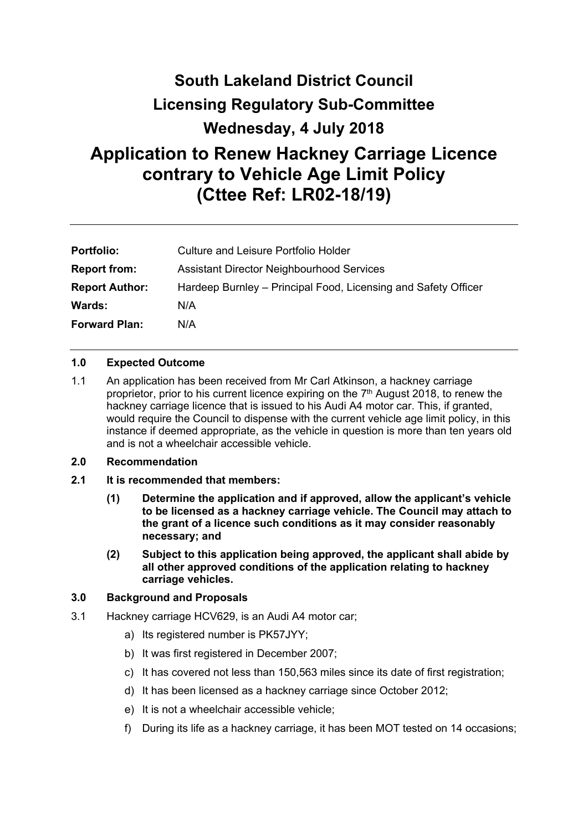# **South Lakeland District Council Licensing Regulatory Sub-Committee Wednesday, 4 July 2018 Application to Renew Hackney Carriage Licence contrary to Vehicle Age Limit Policy (Cttee Ref: LR02-18/19)**

| <b>Portfolio:</b>     | Culture and Leisure Portfolio Holder                           |
|-----------------------|----------------------------------------------------------------|
| <b>Report from:</b>   | <b>Assistant Director Neighbourhood Services</b>               |
| <b>Report Author:</b> | Hardeep Burnley – Principal Food, Licensing and Safety Officer |
| Wards:                | N/A                                                            |
| <b>Forward Plan:</b>  | N/A                                                            |

# **1.0 Expected Outcome**

1.1 An application has been received from Mr Carl Atkinson, a hackney carriage proprietor, prior to his current licence expiring on the 7<sup>th</sup> August 2018, to renew the hackney carriage licence that is issued to his Audi A4 motor car. This, if granted, would require the Council to dispense with the current vehicle age limit policy, in this instance if deemed appropriate, as the vehicle in question is more than ten years old and is not a wheelchair accessible vehicle.

#### **2.0 Recommendation**

- **2.1 It is recommended that members:** 
	- **(1) Determine the application and if approved, allow the applicant's vehicle to be licensed as a hackney carriage vehicle. The Council may attach to the grant of a licence such conditions as it may consider reasonably necessary; and**
	- **(2) Subject to this application being approved, the applicant shall abide by all other approved conditions of the application relating to hackney carriage vehicles.**

#### **3.0 Background and Proposals**

- 3.1 Hackney carriage HCV629, is an Audi A4 motor car;
	- a) Its registered number is PK57JYY;
	- b) It was first registered in December 2007;
	- c) It has covered not less than 150,563 miles since its date of first registration;
	- d) It has been licensed as a hackney carriage since October 2012;
	- e) It is not a wheelchair accessible vehicle;
	- f) During its life as a hackney carriage, it has been MOT tested on 14 occasions;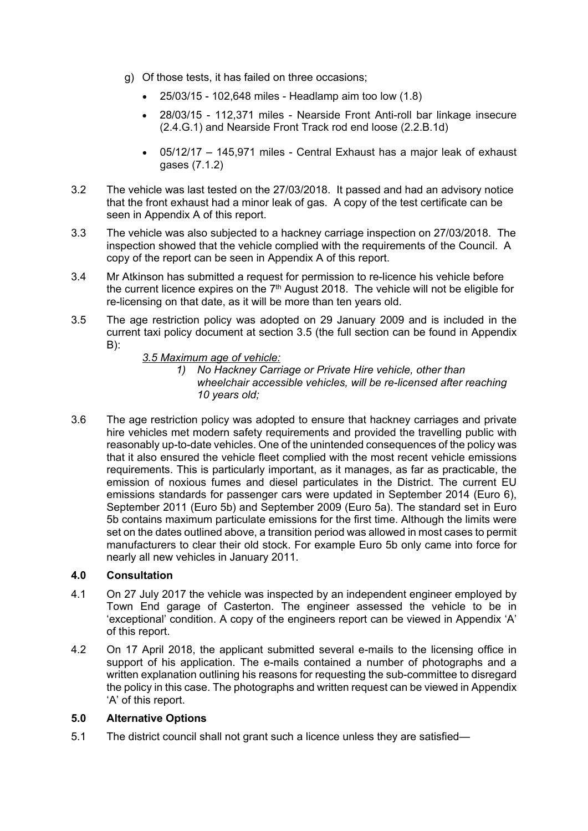- g) Of those tests, it has failed on three occasions;
	- 25/03/15 102,648 miles Headlamp aim too low (1.8)
	- 28/03/15 112,371 miles Nearside Front Anti-roll bar linkage insecure (2.4.G.1) and Nearside Front Track rod end loose (2.2.B.1d)
	- 05/12/17 145,971 miles Central Exhaust has a major leak of exhaust gases (7.1.2)
- 3.2 The vehicle was last tested on the 27/03/2018. It passed and had an advisory notice that the front exhaust had a minor leak of gas. A copy of the test certificate can be seen in Appendix A of this report.
- 3.3 The vehicle was also subjected to a hackney carriage inspection on 27/03/2018. The inspection showed that the vehicle complied with the requirements of the Council. A copy of the report can be seen in Appendix A of this report.
- 3.4 Mr Atkinson has submitted a request for permission to re-licence his vehicle before the current licence expires on the  $7<sup>th</sup>$  August 2018. The vehicle will not be eligible for re-licensing on that date, as it will be more than ten years old.
- 3.5 The age restriction policy was adopted on 29 January 2009 and is included in the current taxi policy document at section 3.5 (the full section can be found in Appendix B):
	- *3.5 Maximum age of vehicle:*
		- *1) No Hackney Carriage or Private Hire vehicle, other than wheelchair accessible vehicles, will be re-licensed after reaching 10 years old;*
- 3.6 The age restriction policy was adopted to ensure that hackney carriages and private hire vehicles met modern safety requirements and provided the travelling public with reasonably up-to-date vehicles. One of the unintended consequences of the policy was that it also ensured the vehicle fleet complied with the most recent vehicle emissions requirements. This is particularly important, as it manages, as far as practicable, the emission of noxious fumes and diesel particulates in the District. The current EU emissions standards for passenger cars were updated in September 2014 (Euro 6), September 2011 (Euro 5b) and September 2009 (Euro 5a). The standard set in Euro 5b contains maximum particulate emissions for the first time. Although the limits were set on the dates outlined above, a transition period was allowed in most cases to permit manufacturers to clear their old stock. For example Euro 5b only came into force for nearly all new vehicles in January 2011.

# **4.0 Consultation**

- 4.1 On 27 July 2017 the vehicle was inspected by an independent engineer employed by Town End garage of Casterton. The engineer assessed the vehicle to be in 'exceptional' condition. A copy of the engineers report can be viewed in Appendix 'A' of this report.
- 4.2 On 17 April 2018, the applicant submitted several e-mails to the licensing office in support of his application. The e-mails contained a number of photographs and a written explanation outlining his reasons for requesting the sub-committee to disregard the policy in this case. The photographs and written request can be viewed in Appendix 'A' of this report.

# **5.0 Alternative Options**

5.1 The district council shall not grant such a licence unless they are satisfied—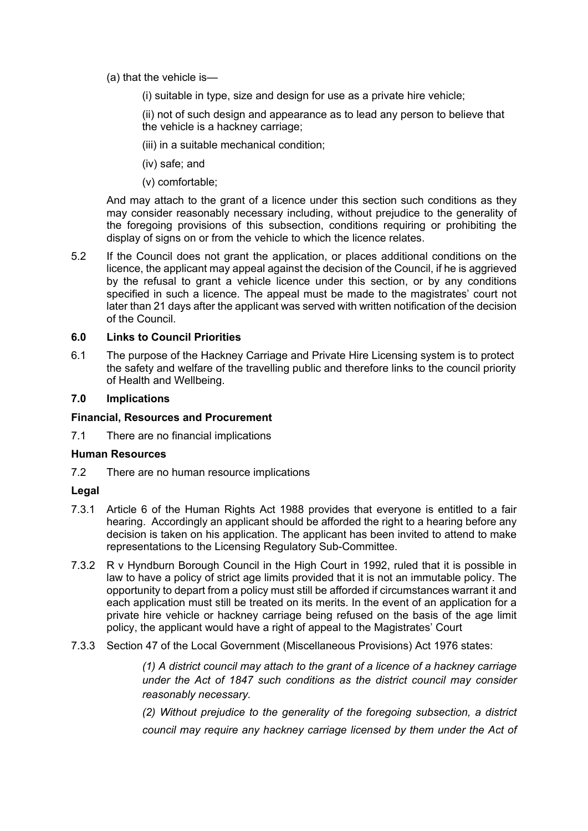- (a) that the vehicle is—
	- (i) suitable in type, size and design for use as a private hire vehicle;

(ii) not of such design and appearance as to lead any person to believe that the vehicle is a hackney carriage;

- (iii) in a suitable mechanical condition;
- (iv) safe; and
- (v) comfortable;

And may attach to the grant of a licence under this section such conditions as they may consider reasonably necessary including, without prejudice to the generality of the foregoing provisions of this subsection, conditions requiring or prohibiting the display of signs on or from the vehicle to which the licence relates.

5.2 If the Council does not grant the application, or places additional conditions on the licence, the applicant may appeal against the decision of the Council, if he is aggrieved by the refusal to grant a vehicle licence under this section, or by any conditions specified in such a licence. The appeal must be made to the magistrates' court not later than 21 days after the applicant was served with written notification of the decision of the Council.

#### **6.0 Links to Council Priorities**

6.1 The purpose of the Hackney Carriage and Private Hire Licensing system is to protect the safety and welfare of the travelling public and therefore links to the council priority of Health and Wellbeing.

#### **7.0 Implications**

#### **Financial, Resources and Procurement**

7.1 There are no financial implications

#### **Human Resources**

7.2 There are no human resource implications

#### **Legal**

- 7.3.1 Article 6 of the Human Rights Act 1988 provides that everyone is entitled to a fair hearing. Accordingly an applicant should be afforded the right to a hearing before any decision is taken on his application. The applicant has been invited to attend to make representations to the Licensing Regulatory Sub-Committee.
- 7.3.2 R v Hyndburn Borough Council in the High Court in 1992, ruled that it is possible in law to have a policy of strict age limits provided that it is not an immutable policy. The opportunity to depart from a policy must still be afforded if circumstances warrant it and each application must still be treated on its merits. In the event of an application for a private hire vehicle or hackney carriage being refused on the basis of the age limit policy, the applicant would have a right of appeal to the Magistrates' Court
- 7.3.3 Section 47 of the Local Government (Miscellaneous Provisions) Act 1976 states:

*(1) A district council may attach to the grant of a licence of a hackney carriage under the Act of 1847 such conditions as the district council may consider reasonably necessary.*

*(2) Without prejudice to the generality of the foregoing subsection, a district council may require any hackney carriage licensed by them under the Act of*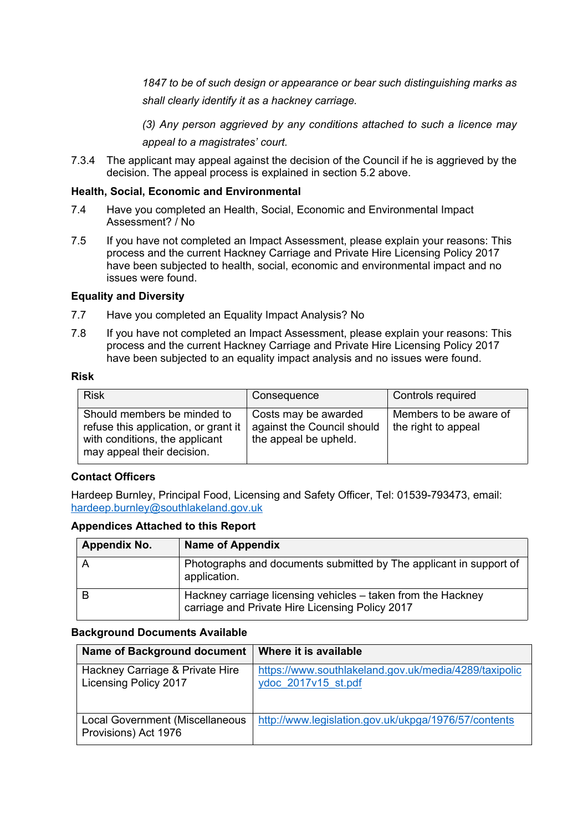*1847 to be of such design or appearance or bear such distinguishing marks as shall clearly identify it as a hackney carriage.*

*(3) Any person aggrieved by any conditions attached to such a licence may appeal to a magistrates' court.*

7.3.4 The applicant may appeal against the decision of the Council if he is aggrieved by the decision. The appeal process is explained in section 5.2 above.

# **Health, Social, Economic and Environmental**

- 7.4 Have you completed an Health, Social, Economic and Environmental Impact Assessment? / No
- 7.5 If you have not completed an Impact Assessment, please explain your reasons: This process and the current Hackney Carriage and Private Hire Licensing Policy 2017 have been subjected to health, social, economic and environmental impact and no issues were found.

# **Equality and Diversity**

- 7.7 Have you completed an Equality Impact Analysis? No
- 7.8 If you have not completed an Impact Assessment, please explain your reasons: This process and the current Hackney Carriage and Private Hire Licensing Policy 2017 have been subjected to an equality impact analysis and no issues were found.

#### **Risk**

| <b>Risk</b>                                                                                                                         | Consequence                                                                 | Controls required                             |
|-------------------------------------------------------------------------------------------------------------------------------------|-----------------------------------------------------------------------------|-----------------------------------------------|
| Should members be minded to<br>refuse this application, or grant it<br>with conditions, the applicant<br>may appeal their decision. | Costs may be awarded<br>against the Council should<br>the appeal be upheld. | Members to be aware of<br>the right to appeal |

# **Contact Officers**

Hardeep Burnley, Principal Food, Licensing and Safety Officer, Tel: 01539-793473, email: [hardeep.burnley@southlakeland.gov.uk](mailto:hardeep.burnley@southlakeland.gov.uk)

# **Appendices Attached to this Report**

| Appendix No. | <b>Name of Appendix</b>                                                                                         |
|--------------|-----------------------------------------------------------------------------------------------------------------|
|              | Photographs and documents submitted by The applicant in support of<br>application.                              |
| B            | Hackney carriage licensing vehicles - taken from the Hackney<br>carriage and Private Hire Licensing Policy 2017 |

# **Background Documents Available**

| Name of Background document                                     | Where it is available                                                        |
|-----------------------------------------------------------------|------------------------------------------------------------------------------|
| Hackney Carriage & Private Hire<br><b>Licensing Policy 2017</b> | https://www.southlakeland.gov.uk/media/4289/taxipolic<br>ydoc 2017v15 st.pdf |
| <b>Local Government (Miscellaneous</b><br>Provisions) Act 1976  | http://www.legislation.gov.uk/ukpga/1976/57/contents                         |